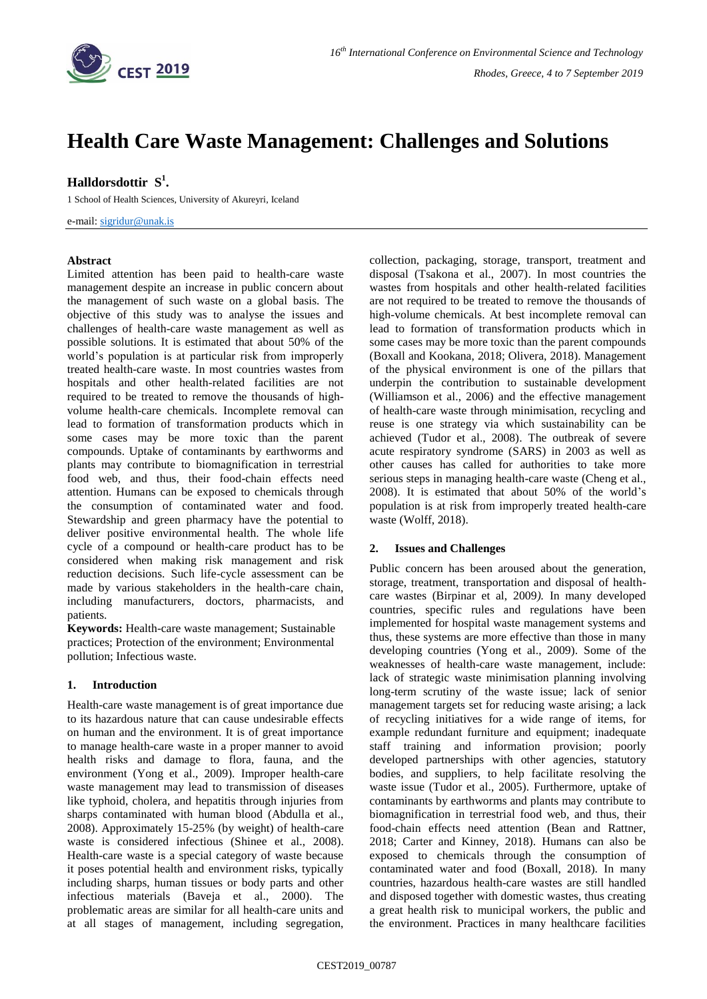

# **Health Care Waste Management: Challenges and Solutions**

# **Halldorsdottir S 1 .**

1 School of Health Sciences, University of Akureyri, Iceland

e-mail: [sigridur@unak.is](mailto:sigridur@unak.is)

### **Abstract**

Limited attention has been paid to health-care waste management despite an increase in public concern about the management of such waste on a global basis. The objective of this study was to analyse the issues and challenges of health-care waste management as well as possible solutions. It is estimated that about 50% of the world's population is at particular risk from improperly treated health-care waste. In most countries wastes from hospitals and other health-related facilities are not required to be treated to remove the thousands of highvolume health-care chemicals. Incomplete removal can lead to formation of transformation products which in some cases may be more toxic than the parent compounds. Uptake of contaminants by earthworms and plants may contribute to biomagnification in terrestrial food web, and thus, their food-chain effects need attention. Humans can be exposed to chemicals through the consumption of contaminated water and food. Stewardship and green pharmacy have the potential to deliver positive environmental health. The whole life cycle of a compound or health-care product has to be considered when making risk management and risk reduction decisions. Such life-cycle assessment can be made by various stakeholders in the health-care chain, including manufacturers, doctors, pharmacists, and patients.

**Keywords:** Health-care waste management; Sustainable practices; Protection of the environment; Environmental pollution; Infectious waste.

# **1. Introduction**

Health-care waste management is of great importance due to its hazardous nature that can cause undesirable effects on human and the environment. It is of great importance to manage health-care waste in a proper manner to avoid health risks and damage to flora, fauna, and the environment (Yong et al., 2009). Improper health-care waste management may lead to transmission of diseases like typhoid, cholera, and hepatitis through injuries from sharps contaminated with human blood (Abdulla et al., 2008). Approximately 15-25% (by weight) of health-care waste is considered infectious (Shinee et al., 2008). Health-care waste is a special category of waste because it poses potential health and environment risks, typically including sharps, human tissues or body parts and other infectious materials (Baveja et al., 2000). The problematic areas are similar for all health-care units and at all stages of management, including segregation,

collection, packaging, storage, transport, treatment and disposal (Tsakona et al., 2007). In most countries the wastes from hospitals and other health-related facilities are not required to be treated to remove the thousands of high-volume chemicals. At best incomplete removal can lead to formation of transformation products which in some cases may be more toxic than the parent compounds (Boxall and Kookana, 2018; Olivera, 2018). Management of the physical environment is one of the pillars that underpin the contribution to sustainable development (Williamson et al., 2006) and the effective management of health-care waste through minimisation, recycling and reuse is one strategy via which sustainability can be achieved (Tudor et al., 2008). The outbreak of severe acute respiratory syndrome (SARS) in 2003 as well as other causes has called for authorities to take more serious steps in managing health-care waste (Cheng et al., 2008). It is estimated that about 50% of the world's population is at risk from improperly treated health-care waste (Wolff, 2018).

# **2. Issues and Challenges**

Public concern has been aroused about the generation, storage, treatment, transportation and disposal of healthcare wastes (Birpinar et al, 2009*).* In many developed countries, specific rules and regulations have been implemented for hospital waste management systems and thus, these systems are more effective than those in many developing countries (Yong et al., 2009). Some of the weaknesses of health-care waste management, include: lack of strategic waste minimisation planning involving long-term scrutiny of the waste issue; lack of senior management targets set for reducing waste arising; a lack of recycling initiatives for a wide range of items, for example redundant furniture and equipment; inadequate staff training and information provision; poorly developed partnerships with other agencies, statutory bodies, and suppliers, to help facilitate resolving the waste issue (Tudor et al., 2005). Furthermore, uptake of contaminants by earthworms and plants may contribute to biomagnification in terrestrial food web, and thus, their food-chain effects need attention (Bean and Rattner, 2018; Carter and Kinney, 2018). Humans can also be exposed to chemicals through the consumption of contaminated water and food (Boxall, 2018). In many countries, hazardous health-care wastes are still handled and disposed together with domestic wastes, thus creating a great health risk to municipal workers, the public and the environment. Practices in many healthcare facilities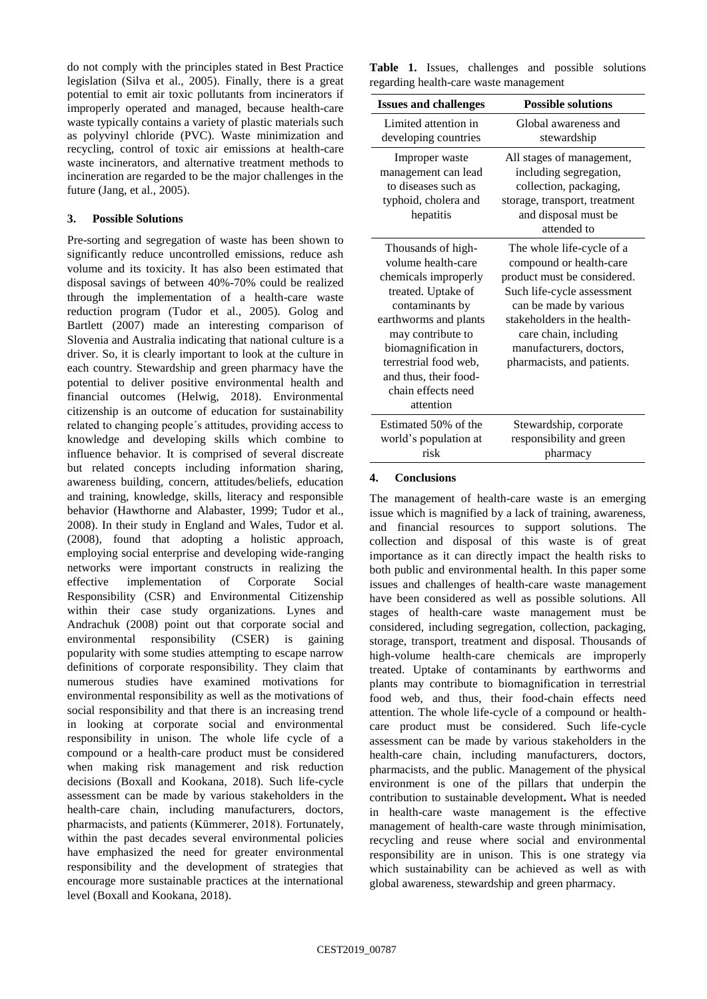do not comply with the principles stated in Best Practice legislation (Silva et al., 2005). Finally, there is a great potential to emit air toxic pollutants from incinerators if improperly operated and managed, because health-care waste typically contains a variety of plastic materials such as polyvinyl chloride (PVC). Waste minimization and recycling, control of toxic air emissions at health-care waste incinerators, and alternative treatment methods to incineration are regarded to be the major challenges in the future (Jang, et al., 2005).

# **3. Possible Solutions**

Pre-sorting and segregation of waste has been shown to significantly reduce uncontrolled emissions, reduce ash volume and its toxicity. It has also been estimated that disposal savings of between 40%-70% could be realized through the implementation of a health-care waste reduction program (Tudor et al., 2005). Golog and Bartlett (2007) made an interesting comparison of Slovenia and Australia indicating that national culture is a driver. So, it is clearly important to look at the culture in each country. Stewardship and green pharmacy have the potential to deliver positive environmental health and financial outcomes (Helwig, 2018). Environmental citizenship is an outcome of education for sustainability related to changing people´s attitudes, providing access to knowledge and developing skills which combine to influence behavior. It is comprised of several discreate but related concepts including information sharing, awareness building, concern, attitudes/beliefs, education and training, knowledge, skills, literacy and responsible behavior (Hawthorne and Alabaster, 1999; Tudor et al., 2008). In their study in England and Wales, Tudor et al. (2008), found that adopting a holistic approach, employing social enterprise and developing wide-ranging networks were important constructs in realizing the effective implementation of Corporate Social Responsibility (CSR) and Environmental Citizenship within their case study organizations. Lynes and Andrachuk (2008) point out that corporate social and environmental responsibility (CSER) is gaining popularity with some studies attempting to escape narrow definitions of corporate responsibility. They claim that numerous studies have examined motivations for environmental responsibility as well as the motivations of social responsibility and that there is an increasing trend in looking at corporate social and environmental responsibility in unison. The whole life cycle of a compound or a health-care product must be considered when making risk management and risk reduction decisions (Boxall and Kookana, 2018). Such life-cycle assessment can be made by various stakeholders in the health-care chain, including manufacturers, doctors, pharmacists, and patients (Kümmerer, 2018). Fortunately, within the past decades several environmental policies have emphasized the need for greater environmental responsibility and the development of strategies that encourage more sustainable practices at the international level (Boxall and Kookana, 2018).

|                                        |  |  | Table 1. Issues, challenges and possible solutions |  |  |  |  |
|----------------------------------------|--|--|----------------------------------------------------|--|--|--|--|
| regarding health-care waste management |  |  |                                                    |  |  |  |  |

| <b>Issues and challenges</b>                                                                                                                                                                                                                                        | <b>Possible solutions</b>                                                                                                                                                                                                                                    |
|---------------------------------------------------------------------------------------------------------------------------------------------------------------------------------------------------------------------------------------------------------------------|--------------------------------------------------------------------------------------------------------------------------------------------------------------------------------------------------------------------------------------------------------------|
| Limited attention in<br>developing countries                                                                                                                                                                                                                        | Global awareness and<br>stewardship                                                                                                                                                                                                                          |
| Improper waste<br>management can lead<br>to diseases such as<br>typhoid, cholera and<br>hepatitis                                                                                                                                                                   | All stages of management,<br>including segregation,<br>collection, packaging,<br>storage, transport, treatment<br>and disposal must be<br>attended to                                                                                                        |
| Thousands of high-<br>volume health-care<br>chemicals improperly<br>treated. Uptake of<br>contaminants by<br>earthworms and plants<br>may contribute to<br>biomagnification in<br>terrestrial food web,<br>and thus, their food-<br>chain effects need<br>attention | The whole life-cycle of a<br>compound or health-care<br>product must be considered.<br>Such life-cycle assessment<br>can be made by various<br>stakeholders in the health-<br>care chain, including<br>manufacturers, doctors,<br>pharmacists, and patients. |
| Estimated 50% of the<br>world's population at<br>risk                                                                                                                                                                                                               | Stewardship, corporate<br>responsibility and green<br>pharmacy                                                                                                                                                                                               |

### **4. Conclusions**

The management of health-care waste is an emerging issue which is magnified by a lack of training, awareness, and financial resources to support solutions. The collection and disposal of this waste is of great importance as it can directly impact the health risks to both public and environmental health. In this paper some issues and challenges of health-care waste management have been considered as well as possible solutions. All stages of health-care waste management must be considered, including segregation, collection, packaging, storage, transport, treatment and disposal. Thousands of high-volume health-care chemicals are improperly treated. Uptake of contaminants by earthworms and plants may contribute to biomagnification in terrestrial food web, and thus, their food-chain effects need attention. The whole life-cycle of a compound or healthcare product must be considered. Such life-cycle assessment can be made by various stakeholders in the health-care chain, including manufacturers, doctors, pharmacists, and the public. Management of the physical environment is one of the pillars that underpin the contribution to sustainable development**.** What is needed in health-care waste management is the effective management of health-care waste through minimisation, recycling and reuse where social and environmental responsibility are in unison. This is one strategy via which sustainability can be achieved as well as with global awareness, stewardship and green pharmacy.